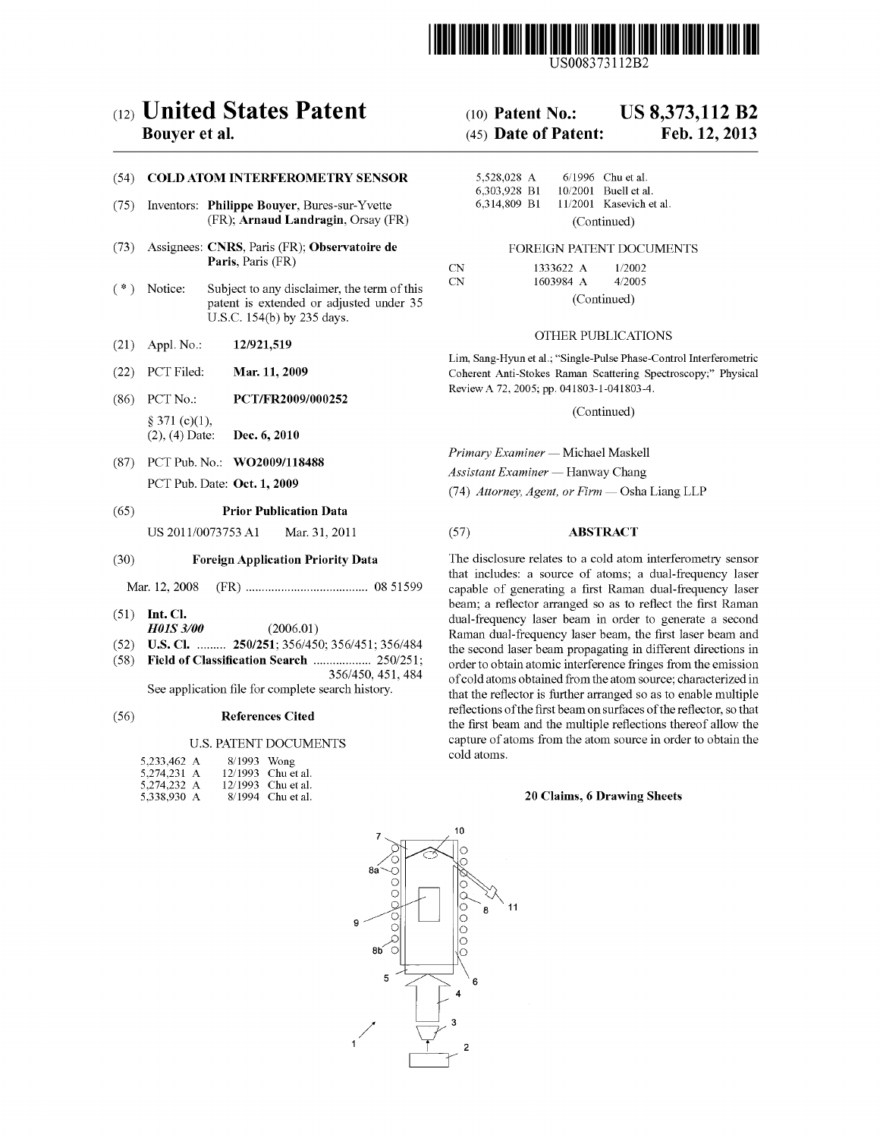

US008373112B2

# (12) United States Patent

# Bouyer et al.

### (54) COLD ATOM INTERFEROMETRY SENSOR

- (75) Inventors: Philippe Bouyer, Bures-sur-Yvette (FR); Arnaud Landragin, Orsay (FR)
- (73) Assignees: CNRS, Paris (FR): Observatoire de Paris, Paris (FR)
- (\*) Notice: Subject to any disclaimer, the term of this patent is extended or adjusted under 35 U.S.C. 154(b) by 235 days.
- (21) Appl. No.: 12/921,519
- (22) PCT Filed: Mar. 11, 2009
- (86). PCT No.: PCT/FR2009/000252  $§ 371 (c)(1),$ (2), (4) Date: Dec. 6, 2010
- (87) PCT Pub. No.: WO2009/118488 PCT Pub. Date: Oct. 1, 2009

# (65) Prior Publication Data

US 2011/0073753 A1 Mar. 31, 2011

# (30) Foreign Application Priority Data

Mar. 12, 2008 (FR) ...................................... O851599

- (51) Int. Cl.
- H01S 3/00 (2006.01)
- (52) U.S. Cl. ......... 250/251; 356/450; 356/451; 356/484<br>(58) Field of Classification Search .................. 250/251;
- Field of Classification Search ................... 250/251; 356/450, 451, 484 See application file for complete search history.

#### (56) References Cited

#### U.S. PATENT DOCUMENTS

| 5,233,462 A | $8/1993$ Wong |                    |
|-------------|---------------|--------------------|
| 5,274,231 A |               | 12/1993 Chu et al. |
| 5,274,232 A |               | 12/1993 Chu et al. |
| 5,338,930 A |               | 8/1994 Chu et al.  |

#### US 8,373,112 B2 (10) Patent No.:

#### Feb. 12, 2013 (45) Date of Patent:

| 5,528,028 A                  |             |  | $6/1996$ Chu et al.                             |  |
|------------------------------|-------------|--|-------------------------------------------------|--|
| 6,303,928 B1<br>6.314.809 B1 |             |  | 10/2001 Buell et al.<br>11/2001 Kasevich et al. |  |
|                              | (Continued) |  |                                                 |  |

#### FOREIGN PATENT DOCUMENTS

| CN | 1333622 A | 1/2002      |  |  |
|----|-----------|-------------|--|--|
| CN | 1603984 A | 4/2005      |  |  |
|    |           | (Continued) |  |  |

#### OTHER PUBLICATIONS

Lim, Sang-Hyun et al.; "Single-Pulse Phase-Control Interferometric Coherent Anti-Stokes Raman Scattering Spectroscopy." Physical Review A72, 2005; pp. 041803-1-041803-4.

(Continued)

Primary Examiner — Michael Maskell Assistant Examiner — Hanway Chang

(74) Attorney, Agent, or Firm — Osha Liang LLP

### (57) ABSTRACT

The disclosure relates to a cold atom interferometry sensor that includes: a source of atoms; a dual-frequency laser capable of generating a first Raman dual-frequency laser beam; a reflector arranged so as to reflect the first Raman dual-frequency laser beam in order to generate a second Raman dual-frequency laser beam, the first laser beam and the second laser beam propagating in different directions in order to obtain atomic interference fringes from the emission of cold atoms obtained from the atom source; characterized in that the reflector is further arranged so as to enable multiple reflections of the first beam on surfaces of the reflector, so that the first beam and the multiple reflections thereof allow the capture of atoms from the atom source in order to obtain the cold atoms.

#### 20 Claims, 6 Drawing Sheets

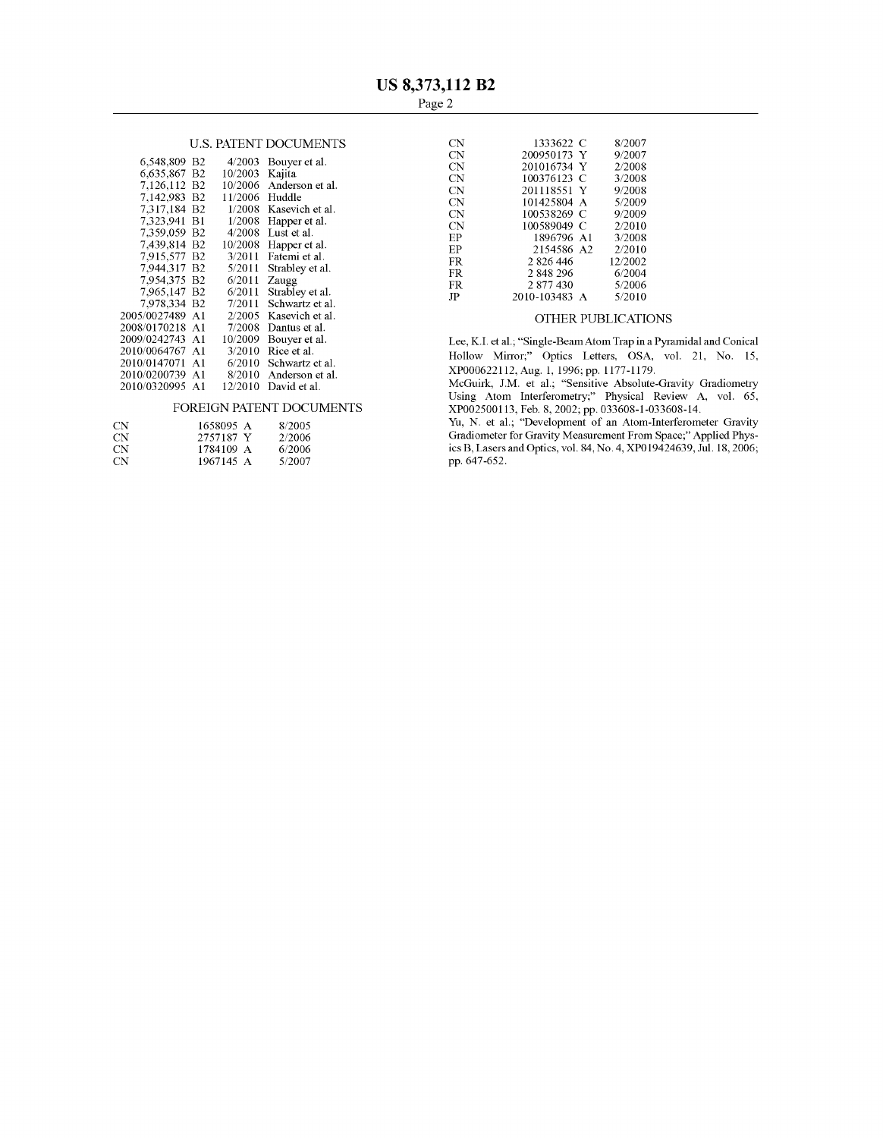|                 |                  |                          | UΝ        | 200950173 Y                                        | 9/2007             |
|-----------------|------------------|--------------------------|-----------|----------------------------------------------------|--------------------|
| 6.548.809 B2    |                  | $4/2003$ Bouyer et al.   | CN        | 201016734 Y                                        | 2/2008             |
| 6,635,867 B2    | 10/2003 Kajita   |                          | <b>CN</b> | 100376123 C                                        | 3/2008             |
| 7,126,112 B2    |                  | 10/2006 Anderson et al.  | CN        | 201118551 Y                                        | 9/2008             |
| 7.142.983 B2    | $11/2006$ Huddle |                          | CN        | 101425804 A                                        | 5/2009             |
| 7.317.184 B2    |                  | 1/2008 Kasevich et al.   | <b>CN</b> | 100538269 C                                        | 9/2009             |
| 7.323.941 B1    |                  | 1/2008 Happer et al.     | CN        | 100589049 C                                        | 2/2010             |
| 7.359.059 B2    |                  | $4/2008$ Lust et al.     | EP        | 1896796 A1                                         | 3/2008             |
| 7.439.814 B2    |                  | $10/2008$ Happer et al.  | EP        | 2154586 A2                                         | 2/2010             |
| 7.915.577 B2    |                  | $3/2011$ Fatemi et al.   | FR        | 2 826 446                                          | 12/2002            |
| 7.944.317 B2    | 5/2011           | Strabley et al.          | FR        | 2 848 296                                          | 6/2004             |
| 7.954.375 B2    | $6/2011$ Zaugg   |                          | FR.       | 2 877 430                                          | 5/2006             |
| 7,965,147 B2    |                  | 6/2011 Strabley et al.   | JP        |                                                    | 5/2010             |
| 7,978,334 B2    |                  | $7/2011$ Schwartz et al. |           | 2010-103483 A                                      |                    |
| 2005/0027489 A1 |                  | 2/2005 Kasevich et al.   |           |                                                    | OTHER PUBLICATIONS |
| 2008/0170218 A1 |                  | $7/2008$ Dantus et al.   |           |                                                    |                    |
| 2009/0242743 A1 | 10/2009          | Bouver et al.            |           | Lee, K.I. et al.; "Single-Beam Atom Trap in a Pyra |                    |
| 2010/0064767 A1 |                  | $3/2010$ Rice et al.     |           |                                                    |                    |
| 2010/0147071 A1 |                  | $6/2010$ Schwartz et al. |           | Hollow Mirror;" Optics Letters, OSA, vo            |                    |
| 2010/0200739 A1 |                  | 8/2010 Anderson et al.   |           | XP000622112, Aug. 1, 1996; pp. 1177-1179.          |                    |
| 2010/0320995 A1 |                  | $12/2010$ David et al.   |           | McGuirk, J.M. et al.; "Sensitive Absolute-Gra      |                    |
|                 |                  |                          |           |                                                    |                    |

| CN. | 1658095 A | 8/2005 |
|-----|-----------|--------|
| CN. | 2757187 Y | 2/2006 |
| CN. | 1784109 A | 6/2006 |
| CN. | 1967145 A | 5/2007 |

|                                  |                | U.S. PATENT DOCUMENTS           | CN                | 1333622 C                  | 8/2007           |
|----------------------------------|----------------|---------------------------------|-------------------|----------------------------|------------------|
| B <sub>2</sub>                   |                | $4/2003$ Bouyer et al.          | CN                | 200950173 Y                | 9/2007           |
| B <sub>2</sub>                   | 10/2003 Kajita |                                 | <b>CN</b>         | 201016734 Y                | 2/2008           |
| <b>B2</b>                        |                | 10/2006 Anderson et al.         | CN                | 100376123 C                | 3/2008           |
| B <sub>2</sub>                   | 11/2006 Huddle |                                 | CN<br>$_{\rm CN}$ | 201118551 Y<br>101425804 A | 9/2008<br>5/2009 |
| B <sub>2</sub>                   |                | 1/2008 Kasevich et al.          | <b>CN</b>         | 100538269 C                | 9/2009           |
| B1                               |                | $1/2008$ Happer et al.          | <b>CN</b>         | 100589049 C                | 2/2010           |
| B <sub>2</sub>                   | 4/2008         | Lust et al.                     | EP                | 1896796 A1                 | 3/2008           |
| B <sub>2</sub>                   |                | $10/2008$ Happer et al.         | EP                | 2154586 A2                 | 2/2010           |
| B <sub>2</sub>                   |                | 3/2011 Fatemi et al.            | FR.               | 2 8 2 6 4 4 6              | 12/2002          |
| B <sub>2</sub><br>B <sub>2</sub> | 6/2011         | $5/2011$ Strabley et al.        | FR.               | 2 848 296                  | 6/2004           |
| B <sub>2</sub>                   |                | Zaugg<br>6/2011 Strabley et al. | FR.               | 2 877 430                  | 5/2006           |
| $\mathbf{D}$                     |                | $7/2011$ $01$ $1$ $1$           | JP                | 2010-103483 A              | 5/2010           |

1939: Lee, K.I. et al.; "Single-Beam Atom Trap in a Pyramidal and Conical Hollow Mirror;" Optics Letters, OSA, vol. 21, No. 15, XP000622112, Aug. 1, 1996; pp. 1177-1179.

McGuirk, J.M. et al.; "Sensitive Absolute-Gravity Gradiometry 2010/0320995 A1 12/2010 David et al. McGuirk, J.M. et al.; "Sensitive Absolute-Gravity Gradiometry<br>Using Atom Interferometry," Physical Review A, vol. 65, FOREIGN PATENT DOCUMENTS XP0025.00113, Feb. 8, 2002: pp. 033608-1-033608-14.

Yu, N. et al., "Development of an Atom-Interferometer Gravity CN 2757187 Y 2/2006 Gradiometer for Gravity Measurement From Space," Applied Phys-CN 1784.109 A 6, 2006 ics B, Lasers and Optics, vol. 84, No. 4, XPO19424639, Jul.18, 2006; pp. 647-652.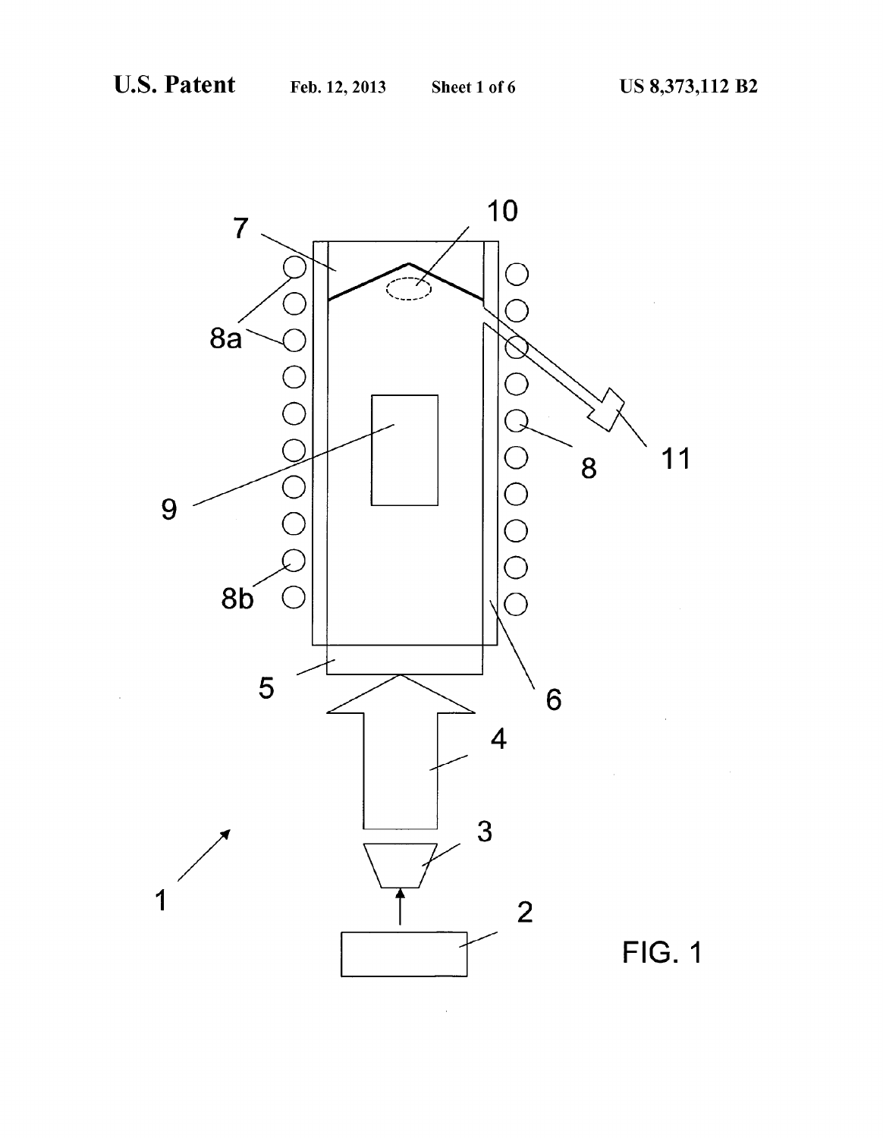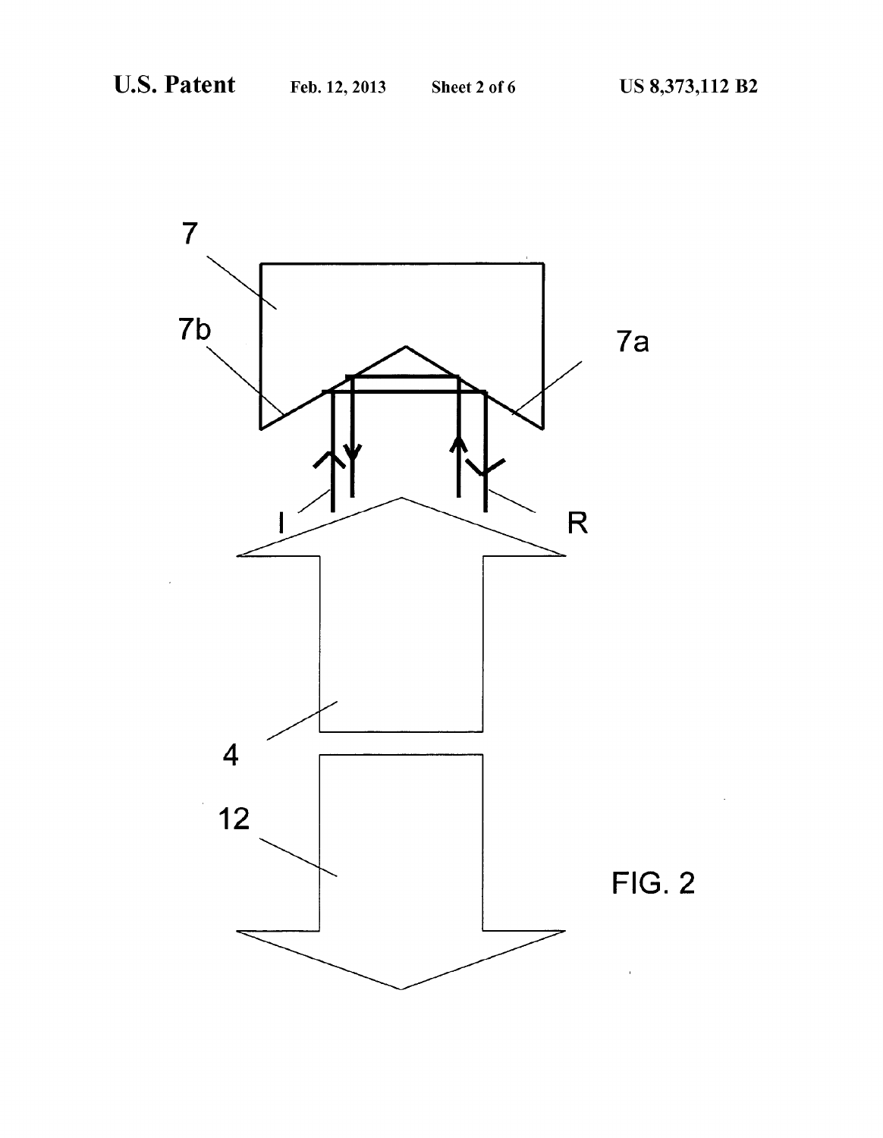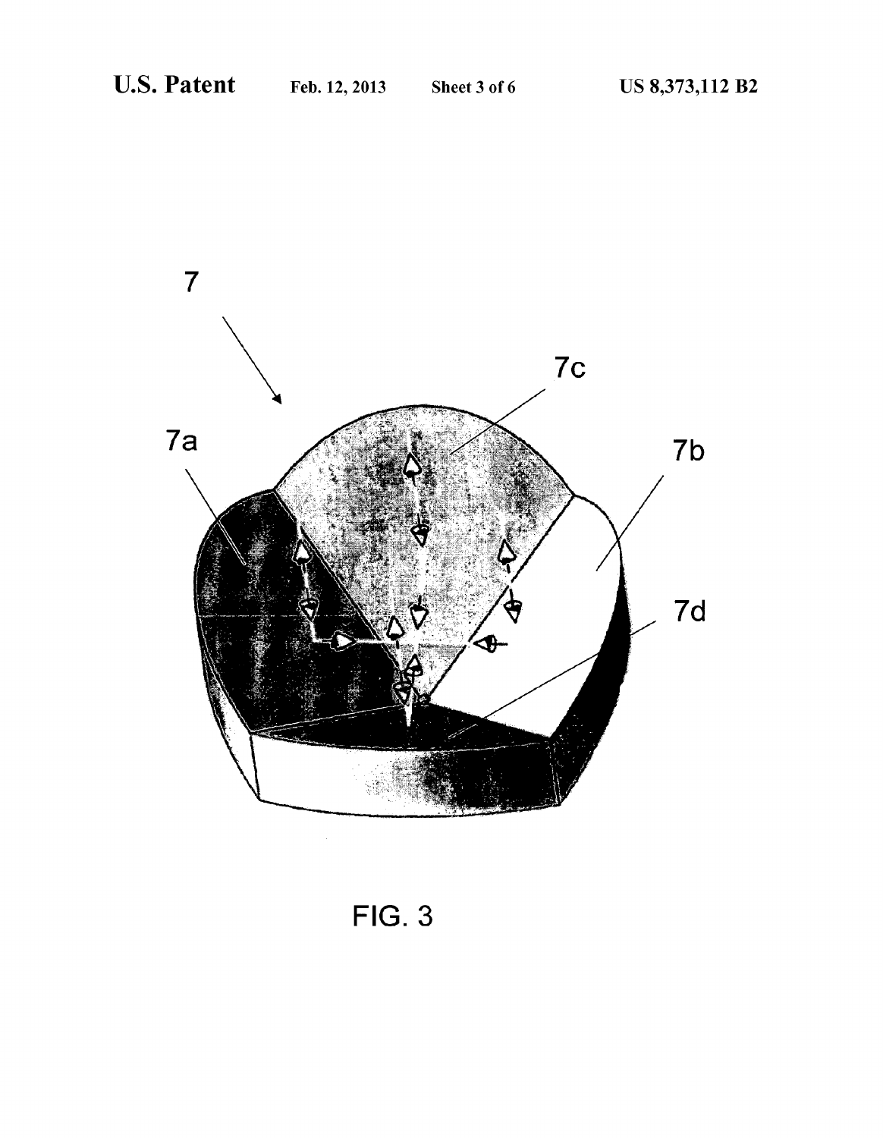

FIG. 3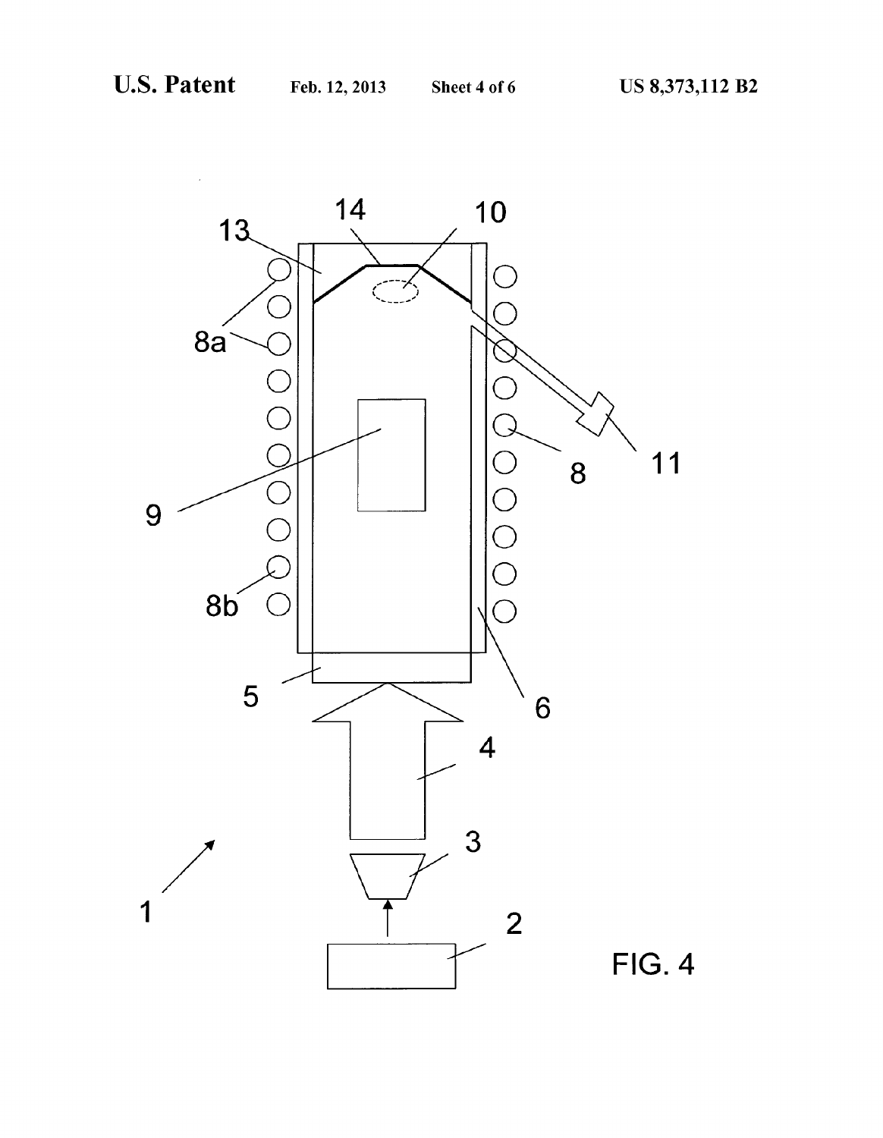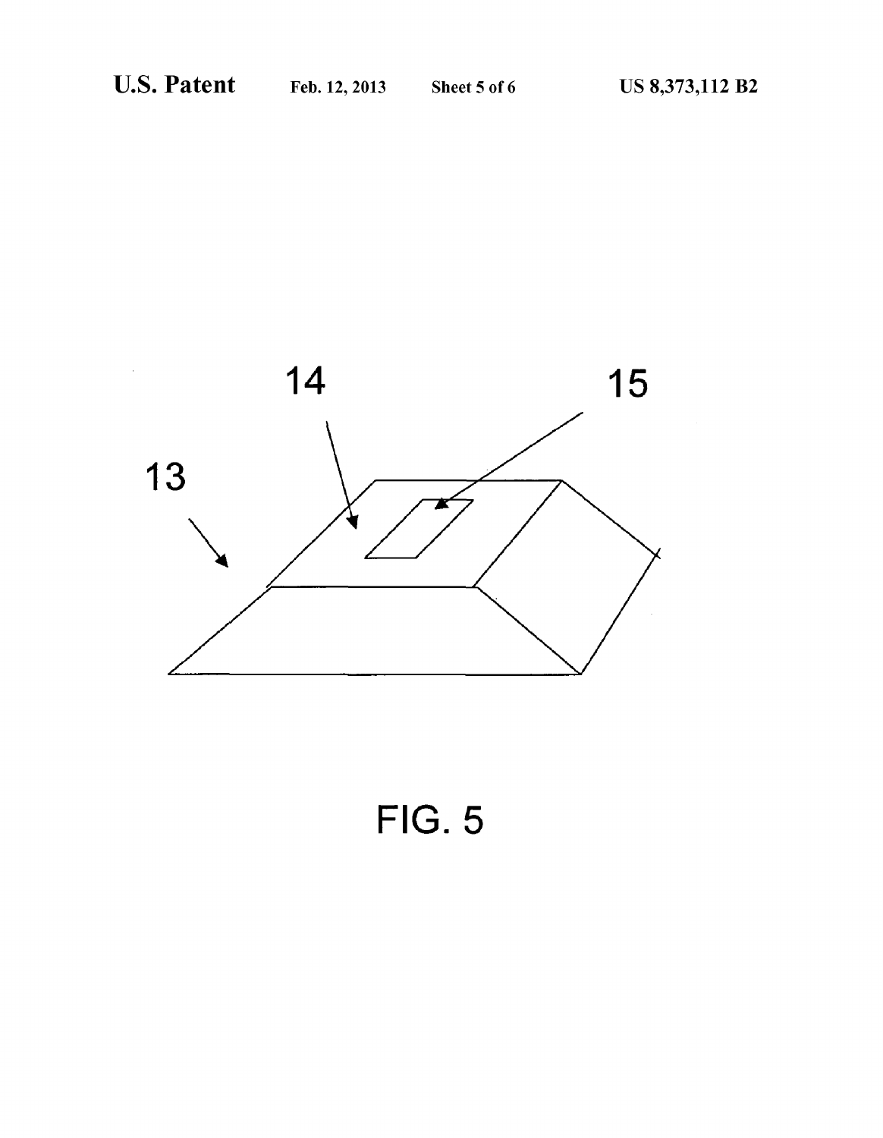

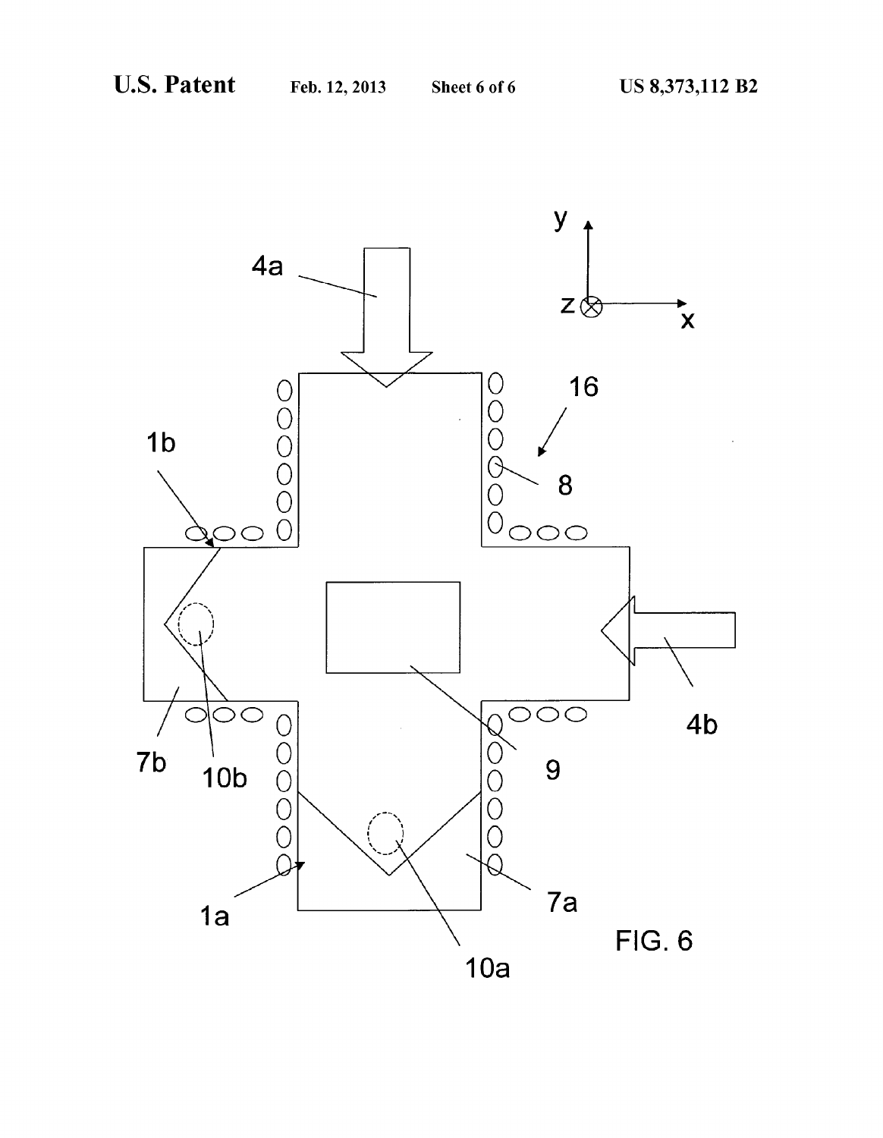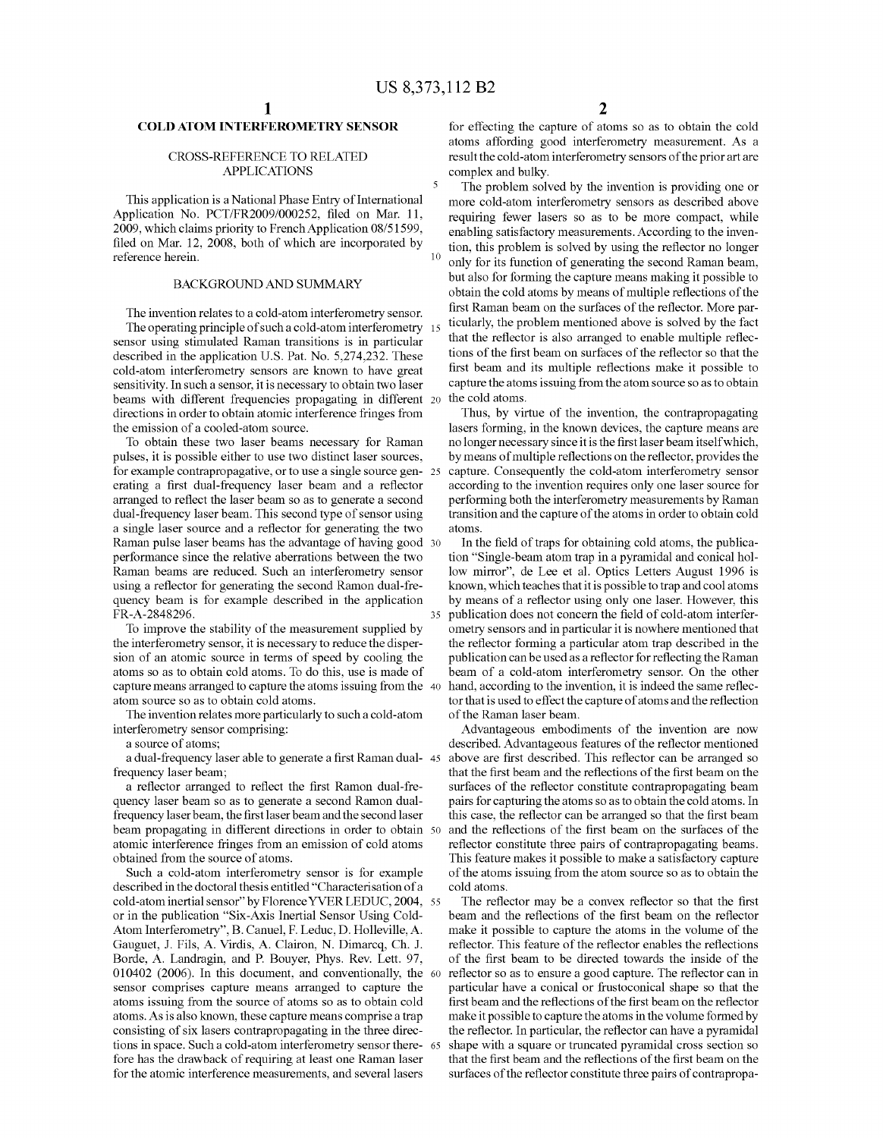35

# COLD ATOMINTERFEROMETRY SENSOR

### CROSS-REFERENCE TO RELATED APPLICATIONS

This application is a National Phase Entry of International Application No. PCT/FR2009/000252, filed on Mar. 11, 2009, which claims priority to French Application 08/51599, filed on Mar. 12, 2008, both of which are incorporated by reference herein.

#### BACKGROUND AND SUMMARY

The invention relates to a cold-atom interferometry sensor. The operating principle of such a cold-atom interferometry 15 sensor using stimulated Raman transitions is in particular described in the application U.S. Pat. No. 5,274,232. These cold-atom interferometry sensors are known to have great sensitivity. In such a sensor, it is necessary to obtain two laser beams with different frequencies propagating in different 20 directions in order to obtain atomic interference fringes from the emission of a cooled-atom source.

To obtain these two laser beams necessary for Raman pulses, it is possible either to use two distinct laser sources, for example contrapropagative, or to use a single source gen- 25 erating a first dual-frequency laser beam and a reflector arranged to reflect the laser beam so as to generate a second dual-frequency laser beam. This second type of sensor using a single laser source and a reflector for generating the two Raman pulse laser beams has the advantage of having good 30 performance since the relative aberrations between the two Raman beams are reduced. Such an interferometry sensor using a reflector for generating the second Ramon dual-fre quency beam is for example described in the application FR-A-2848296.

To improve the stability of the measurement supplied by the interferometry sensor, it is necessary to reduce the disper sion of an atomic source in terms of speed by cooling the atoms so as to obtain cold atoms. To do this, use is made of capture means arranged to capture the atoms issuing from the 40 atom source so as to obtain cold atoms.

The invention relates more particularly to such a cold-atom interferometry sensor comprising:

a source of atoms;

a dual-frequency laser able to generate a first Raman dual- 45 frequency laser beam;

a reflector arranged to reflect the first Ramon dual-fre quency laser beam so as to generate a second Ramon dual frequency laserbeam, the first laser beam and the second laser beam propagating in different directions in order to obtain 50 atomic interference fringes from an emission of cold atoms obtained from the source of atoms.

Such a cold-atom interferometry sensor is for example described in the doctoral thesis entitled "Characterisation of a cold-atominertial sensor" by FlorenceYVER LEDUC, 2004, 55 or in the publication "Six-Axis Inertial Sensor Using Cold Atom Interferometry". B. Canuel, F. Leduc, D. Holleville, A. Gauguet, J. Fils, A. Virdis, A. Clairon, N. Dimarcq, Ch. J. Borde, A. Landragin, and P. Bouyer, Phys. Rev. Lett. 97. 010402 (2006). In this document, and conventionally, the 60 sensor comprises capture means arranged to capture the atoms issuing from the source of atoms so as to obtain cold atoms. As is also known, these capture means comprise a trap consisting of six lasers contrapropagating in the three directions in space. Such a cold-atom interferometry sensor there- 65 fore has the drawback of requiring at least one Raman laser for the atomic interference measurements, and several lasers

for effecting the capture of atoms so as to obtain the cold atoms affording good interferometry measurement. As a result the cold-atom interferometry sensors of the prior art are complex and bulky.

The problem solved by the invention is providing one or more cold-atom interferometry sensors as described above requiring fewer lasers so as to be more compact, while enabling satisfactory measurements. According to the inven tion, this problem is solved by using the reflector no longer only for its function of generating the second Raman beam, but also for forming the capture means making it possible to obtain the cold atoms by means of multiple reflections of the ticularly, the problem mentioned above is solved by the fact that the reflector is also arranged to enable multiple reflec tions of the first beam on surfaces of the reflector so that the first beam and its multiple reflections make it possible to capture the atoms issuing from the atom source so as to obtain the cold atoms.

Thus, by virtue of the invention, the contrapropagating lasers forming, in the known devices, the capture means are no longer necessary since it is the first laser beam itself which, by means of multiple reflections on the reflector, provides the capture. Consequently the cold-atom interferometry sensor according to the invention requires only one laser source for performing both the interferometry measurements by Raman transition and the capture of the atoms in order to obtain cold atOmS.

In the field of traps for obtaining cold atoms, the publica tion "Single-beam atom trap in a pyramidal and conical hol low mirror', de Lee et al. Optics Letters August 1996 is known, which teaches that it is possible to trap and cool atoms by means of a reflector using only one laser. However, this publication does not concern the field of cold-atom interfer ometry sensors and in particular it is nowhere mentioned that the reflector forming a particular atom trap described in the publication can be used as a reflector for reflecting the Raman beam of a cold-atom interferometry sensor. On the other hand, according to the invention, it is indeed the same reflec tor that is used to effect the capture of atoms and the reflection of the Raman laser beam.

Advantageous embodiments of the invention are now described. Advantageous features of the reflector mentioned above are first described. This reflector can be arranged so that the first beam and the reflections of the first beam on the surfaces of the reflector constitute contrapropagating beam pairs for capturing the atoms so as to obtain the cold atoms. In this case, the reflector can be arranged so that the first beam and the reflections of the first beam on the surfaces of the reflector constitute three pairs of contrapropagating beams. This feature makes it possible to make a satisfactory capture of the atoms issuing from the atom source so as to obtain the cold atoms.

The reflector may be a convex reflector so that the first beam and the reflections of the first beam on the reflector make it possible to capture the atoms in the volume of the reflector. This feature of the reflector enables the reflections of the first beam to be directed towards the inside of the reflector so as to ensure a good capture. The reflector can in particular have a conical or frustoconical shape so that the first beam and the reflections of the first beam on the reflector make it possible to capture the atoms in the volume formed by the reflector. In particular, the reflector can have a pyramidal shape with a square or truncated pyramidal cross section so that the first beam and the reflections of the first beam on the surfaces of the reflector constitute three pairs of contrapropa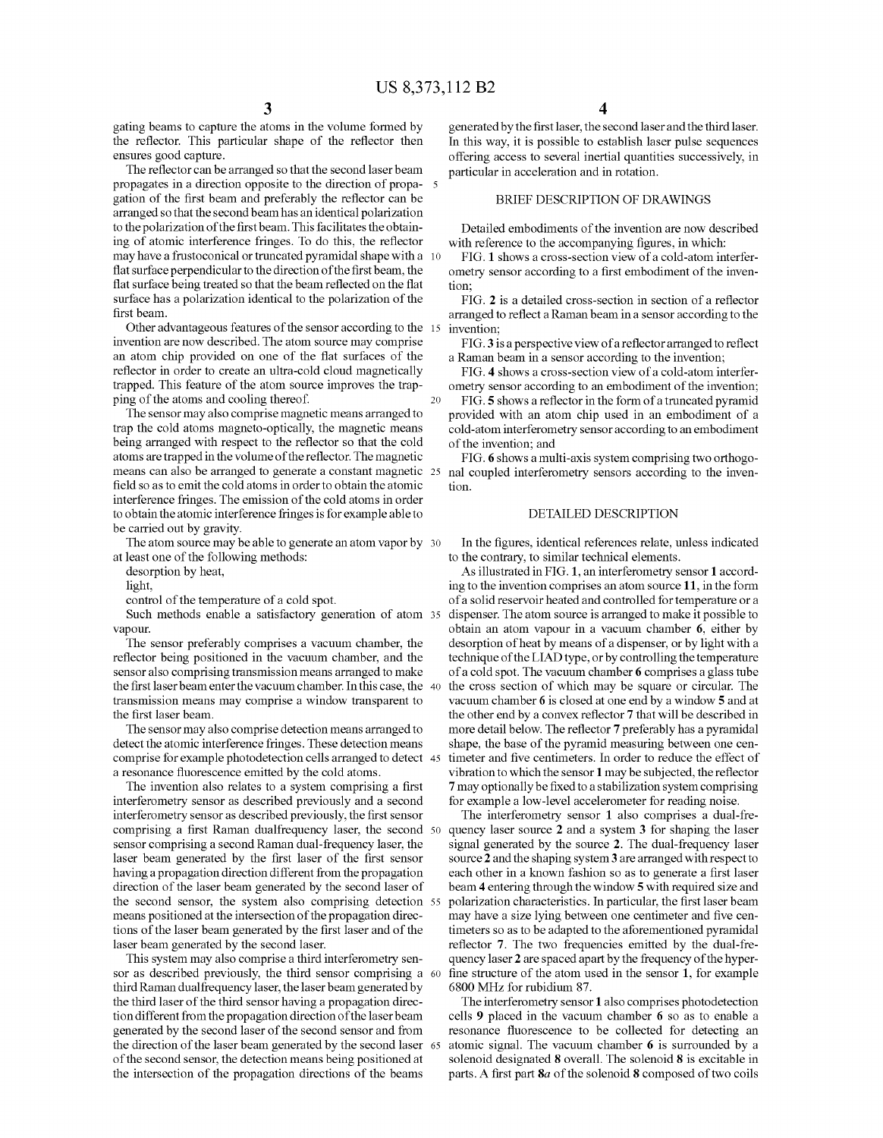gating beams to capture the atoms in the Volume formed by the reflector. This particular shape of the reflector then ensures good capture.

The reflector can be arranged so that the second laser beam propagates in a direction opposite to the direction of propa gation of the first beam and preferably the reflector can be arranged so that the second beam has an identical polarization to the polarization of the first beam. This facilitates the obtain ing of atomic interference fringes. To do this, the reflector may have a frustoconical or truncated pyramidal shape with a 10 flat surface perpendicular to the direction of the first beam, the flat surface being treated so that the beam reflected on the flat surface has a polarization identical to the polarization of the first beam.

Other advantageous features of the sensor according to the 15 invention are now described. The atom source may comprise an atom chip provided on one of the flat surfaces of the trapped. This feature of the atom source improves the trapping of the atoms and cooling thereof.

The sensor may also comprise magnetic means arranged to trap the cold atoms magneto-optically, the magnetic means being arranged with respect to the reflector so that the cold atoms are trapped in the Volume of the reflector. The magnetic field so as to emit the cold atoms in order to obtain the atomic interference fringes. The emission of the cold atoms in order to obtain the atomic interference fringes is for example able to be carried out by gravity.

The atom source may be able to generate an atom vapor by 30 at least one of the following methods:

desorption by heat, light,

control of the temperature of a cold spot.

Such methods enable a satisfactory generation of atom 35 vapour.

The sensor preferably comprises a vacuum chamber, the reflector being positioned in the Vacuum chamber, and the sensor also comprising transmission means arranged to make the first laserbeam enter the vacuum chamber. In this case, the 40 transmission means may comprise a window transparent to the first laser beam.

The sensor may also comprise detection means arranged to detect the atomic interference fringes. These detection means comprise for example photodetection cells arranged to detect 45 a resonance fluorescence emitted by the cold atoms.

The invention also relates to a system comprising a first interferometry sensor as described previously and a second interferometry sensor as described previously, the first sensor comprising a first Raman dualfrequency laser, the second 50 sensor comprising a second Raman dual-frequency laser, the laser beam generated by the first laser of the first sensor having a propagation direction different from the propagation direction of the laser beam generated by the second laser of the second sensor, the system also comprising detection 55 means positioned at the intersection of the propagation direc tions of the laser beam generated by the first laser and of the laser beam generated by the second laser.

This system may also comprise a third interferometry sen sor as described previously, the third sensor comprising a 60 third Raman dual frequency laser, the laser beam generated by the third laser of the third sensor having a propagation direc tion different from the propagation direction of the laser beam generated by the second laser of the second sensor and from the direction of the laser beam generated by the second laser 65 of the second sensor, the detection means being positioned at the intersection of the propagation directions of the beams

generated by the first laser, the second laser and the third laser. In this way, it is possible to establish laser pulse sequences offering access to several inertial quantities Successively, in particular in acceleration and in rotation.

# BRIEF DESCRIPTION OF DRAWINGS

Detailed embodiments of the invention are now described with reference to the accompanying figures, in which:

FIG. 1 shows a cross-section view of a cold-atom interfer ometry sensor according to a first embodiment of the inven tion;

FIG. 2 is a detailed cross-section in section of a reflector arranged to reflect a Raman beam in a sensor according to the invention;

FIG.3 is a perspective view of a reflector arranged to reflect a Raman beam in a sensor according to the invention;

FIG. 4 shows a cross-section view of a cold-atom interfer ometry sensor according to an embodiment of the invention;<br>FIG. 5 shows a reflector in the form of a truncated pyramid

provided with an atom chip used in an embodiment of a cold-atom interferometry sensor according to an embodiment of the invention; and

means can also be arranged to generate a constant magnetic 25 nal coupled interferometry sensors according to the inven FIG. 6 shows a multi-axis system comprising two orthogo tion.

#### DETAILED DESCRIPTION

In the figures, identical references relate, unless indicated to the contrary, to similar technical elements.

As illustrated in FIG.1, an interferometry sensor 1 accord ing to the invention comprises an atom source 11, in the form of a solid reservoir heated and controlled for temperature or a dispenser. The atom source is arranged to make it possible to obtain an atom vapour in a vacuum chamber 6, either by desorption of heat by means of a dispenser, or by light with a technique of the LIAD type, or by controlling the temperature of a cold spot. The vacuum chamber 6 comprises a glass tube the cross section of which may be square or circular. The vacuum chamber 6 is closed at one end by a window 5 and at the other end by a convex reflector 7 that will be described in more detail below. The reflector 7 preferably has a pyramidal shape, the base of the pyramid measuring between one cen timeter and five centimeters. In order to reduce the effect of vibration to which the sensor 1 may be subjected, the reflector 7 may optionally be fixed to a stabilization system comprising for example a low-level accelerometer for reading noise.

The interferometry sensor 1 also comprises a dual-fre quency laser source 2 and a system 3 for shaping the laser signal generated by the source 2. The dual-frequency laser source 2 and the shaping system 3 are arranged with respect to each other in a known fashion so as to generate a first laser beam 4 entering through the window 5 with required size and polarization characteristics. In particular, the first laser beam may have a size lying between one centimeter and five cen timeters so as to be adapted to the aforementioned pyramidal reflector 7. The two frequencies emitted by the dual-fre quency laser 2 are spaced apart by the frequency of the hyper fine structure of the atom used in the sensor 1, for example 6800 MHZ for rubidium 87.

The interferometry sensor 1 also comprises photodetection cells 9 placed in the vacuum chamber 6 so as to enable a resonance fluorescence to be collected for detecting an atomic signal. The vacuum chamber 6 is surrounded by a solenoid designated 8 overall. The solenoid 8 is excitable in parts. A first part  $8a$  of the solenoid  $8$  composed of two coils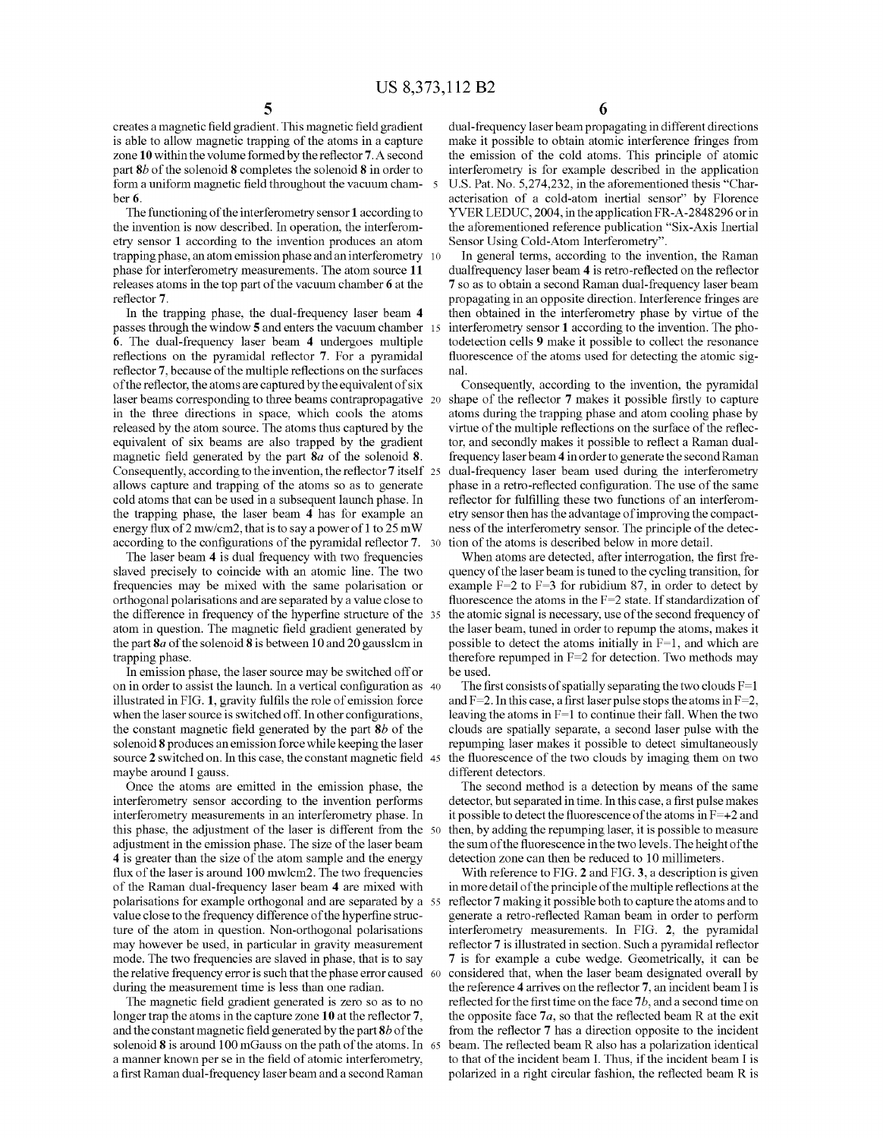creates a magnetic field gradient. This magnetic field gradient is able to allow magnetic trapping of the atoms in a capture zone 10 within the volume formed by the reflector 7. A second part 8b of the solenoid 8 completes the solenoid 8 in order to form a uniform magnetic field throughout the vacuum cham ber 6.

The functioning of the interferometry sensor 1 according to the invention is now described. In operation, the interferom etry sensor 1 according to the invention produces an atom trapping phase, an atom emission phase and an interferometry 10 phase for interferometry measurements. The atom source 11 releases atoms in the top part of the vacuum chamber 6 at the reflector 7.

In the trapping phase, the dual-frequency laser beam 4 passes through the window 5 and enters the vacuum chamber 15 6. The dual-frequency laser beam 4 undergoes multiple reflections on the pyramidal reflector 7. For a pyramidal reflector 7, because of the multiple reflections on the surfaces of the reflector, the atoms are captured by the equivalent of six laser beams corresponding to three beams contrapropagative 20 in the three directions in space, which cools the atoms released by the atom source. The atoms thus captured by the equivalent of six beams are also trapped by the gradient magnetic field generated by the part 8a of the solenoid 8. Consequently, according to the invention, the reflector 7 itself 25 allows capture and trapping of the atoms so as to generate cold atoms that can be used in a subsequent launch phase. In the trapping phase, the laser beam 4 has for example an energy flux of 2 mw/cm2, that is to say a power of 1 to 25 mW according to the configurations of the pyramidal reflector 7. 30

The laser beam 4 is dual frequency with two frequencies slaved precisely to coincide with an atomic line. The two frequencies may be mixed with the same polarisation or orthogonal polarisations and are separated by a value close to the difference in frequency of the hyperfine structure of the 35 atom in question. The magnetic field gradient generated by the part  $8a$  of the solenoid  $8$  is between 10 and 20 gausslem in trapping phase.

In emission phase, the laser source may be switched offor on in order to assist the launch. In a vertical configuration as 40 illustrated in FIG. 1, gravity fulfils the role of emission force when the laser source is switched off. In other configurations, the constant magnetic field generated by the part  $8b$  of the solenoid 8 produces an emission force while keeping the laser Source 2 Switched on. In this case, the constant magnetic field 45 maybe around I gauss.

Once the atoms are emitted in the emission phase, the interferometry sensor according to the invention performs interferometry measurements in an interferometry phase. In this phase, the adjustment of the laser is different from the 50 adjustment in the emission phase. The size of the laser beam 4 is greater than the size of the atom sample and the energy flux of the laser is around 100 mwlcm2. The two frequencies of the Raman dual-frequency laser beam 4 are mixed with polarisations for example orthogonal and are separated by a 55 value close to the frequency difference of the hyperfine struc ture of the atom in question. Non-orthogonal polarisations may however be used, in particular in gravity measurement mode. The two frequencies are slaved in phase, that is to say the relative frequency error is such that the phase error caused 60 during the measurement time is less than one radian.

The magnetic field gradient generated is zero so as to no longer trap the atoms in the capture zone 10 at the reflector 7. and the constant magnetic field generated by the part  $8b$  of the solenoid **8** is around TOO mGauss on the path of the atoms. In 65 a manner known perse in the field of atomic interferometry, a first Raman dual-frequency laser beam and a second Raman

dual-frequency laser beam propagating in different directions make it possible to obtain atomic interference fringes from the emission of the cold atoms. This principle of atomic interferometry is for example described in the application U.S. Pat. No. 5,274,232, in the aforementioned thesis "Char acterisation of a cold-atom inertial sensor' by Florence YVER LEDUC, 2004, in the application FR-A-2848296 or in the aforementioned reference publication "Six-Axis Inertial Sensor Using Cold-Atom Interferometry".

In general terms, according to the invention, the Raman dual frequency laser beam 4 is retro-reflected on the reflector 7 so as to obtain a second Raman dual-frequency laser beam propagating in an opposite direction. Interference fringes are then obtained in the interferometry phase by virtue of the interferometry sensor 1 according to the invention. The pho todetection cells 9 make it possible to collect the resonance fluorescence of the atoms used for detecting the atomic sig nal.

Consequently, according to the invention, the pyramidal shape of the reflector 7 makes it possible firstly to capture atoms during the trapping phase and atom cooling phase by virtue of the multiple reflections on the surface of the reflec tor, and secondly makes it possible to reflect a Raman dual frequency laserbeam 4 in order to generate the second Raman dual-frequency laser beam used during the interferometry phase in a retro-reflected configuration. The use of the same reflector for fulfilling these two functions of an interferom etry sensor then has the advantage of improving the compact ness of the interferometry sensor. The principle of the detec tion of the atoms is described below in more detail.

When atoms are detected, after interrogation, the first fre quency of the laser beam is tuned to the cycling transition, for example  $F=2$  to  $F=3$  for rubidium 87, in order to detect by fluorescence the atoms in the  $F=2$  state. If standardization of the atomic signal is necessary, use of the second frequency of the laser beam, tuned in order to repump the atoms, makes it possible to detect the atoms initially in F=1, and which are therefore repumped in  $F=2$  for detection. Two methods may be used.

The first consists of spatially separating the two clouds  $F=1$ and  $F=2$ . In this case, a first laser pulse stops the atoms in  $F=2$ , leaving the atoms in F=1 to continue their fall. When the two clouds are spatially separate, a second laser pulse with the repumping laser makes it possible to detect simultaneously the fluorescence of the two clouds by imaging them on two different detectors.

The second method is a detection by means of the same detector, but separated in time. In this case, a first pulse makes it possible to detect the fluorescence of the atoms in  $F=+2$  and then, by adding the repumping laser, it is possible to measure the sum of the fluorescence in the two levels. The height of the detection Zone can then be reduced to 10 millimeters.

With reference to FIG. 2 and FIG. 3, a description is given in more detail of the principle of the multiple reflections at the reflector 7 making it possible both to capture the atoms and to generate a retro-reflected Raman beam in order to perform interferometry measurements. In FIG. 2, the pyramidal reflector 7 is illustrated in section. Such a pyramidal reflector 7 is for example a cube wedge. Geometrically, it can be considered that, when the laser beam designated overall by the reference 4 arrives on the reflector 7, an incident beam I is reflected for the first time on the face 7b, and a second time on the opposite face  $7a$ , so that the reflected beam R at the exit from the reflector 7 has a direction opposite to the incident beam. The reflected beam R also has a polarization identical to that of the incident beam I. Thus, if the incident beam I is polarized in a right circular fashion, the reflected beam R is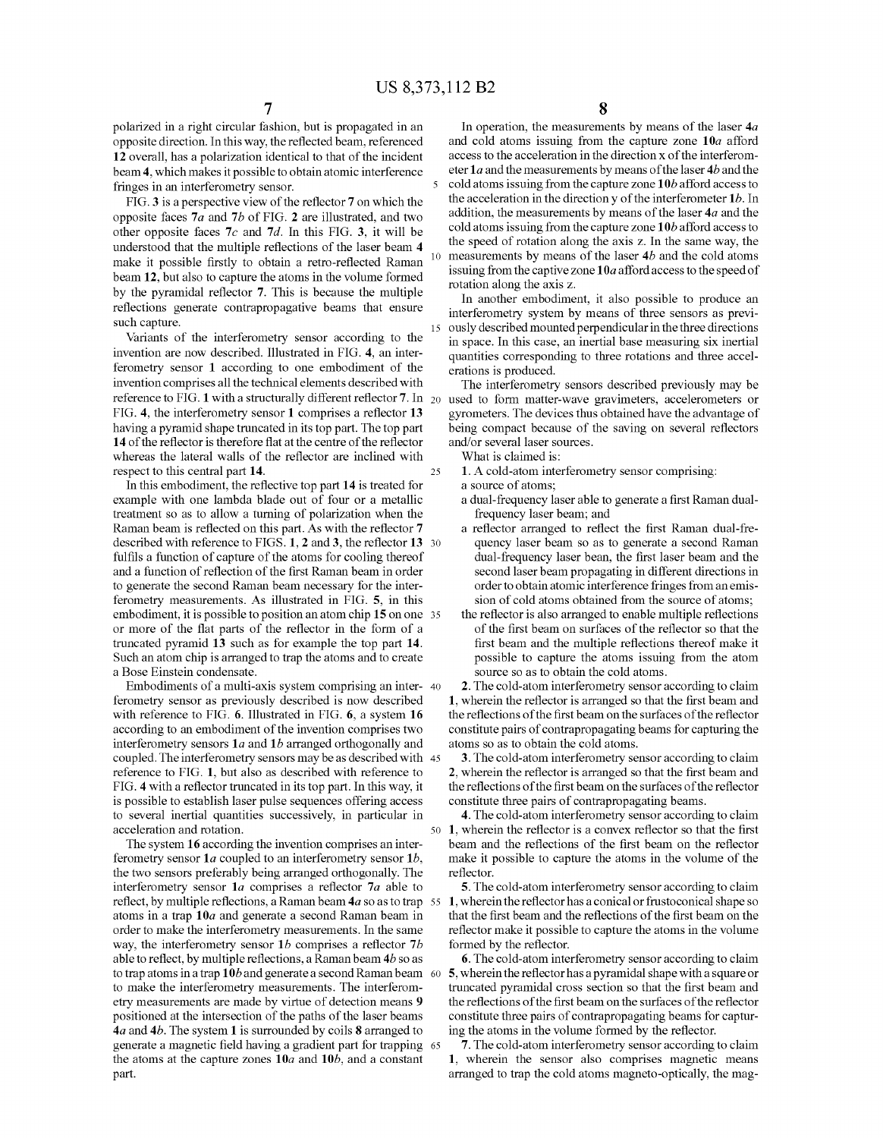15

25

polarized in a right circular fashion, but is propagated in an opposite direction. In this way, the reflected beam, referenced 12 overall, has a polarization identical to that of the incident beam 4, which makes it possible to obtain atomic interference fringes in an interferometry sensor.

FIG. 3 is a perspective view of the reflector 7 on which the opposite faces 7a and 7b of FIG. 2 are illustrated, and two other opposite faces  $7c$  and  $7d$ . In this FIG. 3, it will be understood that the multiple reflections of the laser beam 4 make it possible firstly to obtain a retro-reflected Raman beam 12, but also to capture the atoms in the volume formed by the pyramidal reflector 7. This is because the multiple reflections generate contrapropagative beams that ensure such capture.

Variants of the interferometry sensor according to the invention are now described. Illustrated in FIG. 4, an inter ferometry sensor 1 according to one embodiment of the invention comprises all the technical elements described with reference to FIG. 1 with a structurally different reflector 7. In  $_{20}$ FIG. 4, the interferometry sensor 1 comprises a reflector 13 having a pyramid shape truncated in its top part. The top part 14 of the reflector is therefore flat at the centre of the reflector whereas the lateral walls of the reflector are inclined with respect to this central part 14.

In this embodiment, the reflective top part 14 is treated for example with one lambda blade out of four or a metallic treatment so as to allow a turning of polarization when the Raman beam is reflected on this part. As with the reflector 7 described with reference to  $FIGS. I, Z$  and 3, the reflector  $I3$  30 fulfils a function of capture of the atoms for cooling thereof and a function of reflection of the first Raman beam in order to generate the second Raman beam necessary for the inter ferometry measurements. As illustrated in FIG. 5, in this embodiment, it is possible to position an atom chip 15 on one 35 or more of the flat parts of the reflector in the form of a truncated pyramid 13 Such as for example the top part 14. Such an atom chip is arranged to trap the atoms and to create a Bose Einstein condensate.

Embodiments of a multi-axis system comprising an inter- 40 ferometry sensor as previously described is now described with reference to FIG. 6. Illustrated in FIG. 6, a system 16 according to an embodiment of the invention comprises two interferometry sensors  $1a$  and  $1b$  arranged orthogonally and coupled. The interferometry sensors may be as described with 45 reference to FIG. 1, but also as described with reference to FIG. 4 with a reflector truncated in its top part. In this way, it is possible to establish laser pulse sequences offering access to several inertial quantities successively, in particular in acceleration and rotation. 50

The system 16 according the invention comprises an inter ferometry sensor 1a coupled to an interferometry sensor 1b, the two sensors preferably being arranged orthogonally. The interferometry sensor 1a comprises a reflector 7a able to reflect, by multiple reflections, a Raman beam  $4a$  so as to trap  $\,$  55  $\,$ atoms in a trap  $10a$  and generate a second Raman beam in order to make the interferometry measurements. In the same way, the interferometry sensor  $1b$  comprises a reflector  $7b$ able to reflect, by multiple reflections, a Raman beam 4b so as to trap atoms in a trap 10b and generate a second Raman beam 60 to make the interferometry measurements. The interferom etry measurements are made by virtue of detection means 9 positioned at the intersection of the paths of the laser beams  $4a$  and  $4b$ . The system 1 is surrounded by coils 8 arranged to generate a magnetic field having a gradient part for trapping 65 the atoms at the capture zones  $10a$  and  $10b$ , and a constant part.

In operation, the measurements by means of the laser  $4a$  and cold atoms issuing from the capture zone  $10a$  afford access to the acceleration in the direction x of the interferometer 1a and the measurements by means of the laser 4b and the cold atoms issuing from the capture zone  $10b$  afford access to the acceleration in the direction  $y$  of the interferometer  $1b$ . In addition, the measurements by means of the laser  $4a$  and the cold atoms issuing from the capture zone  $10b$  afford access to the speed of rotation along the axis Z. In the same way, the measurements by means of the laser 4b and the cold atoms issuing from the captive zone  $10a$  afford access to the speed of rotation along the axis Z.

In another embodiment, it also possible to produce an interferometry system by means of three sensors as previ ously described mounted perpendicular in the three directions in space. In this case, an inertial base measuring six inertial quantities corresponding to three rotations and three accel erations is produced.

The interferometry sensors described previously may be used to form matter-wave gravimeters, accelerometers or gyrometers. The devices thus obtained have the advantage of being compact because of the saving on several reflectors and/or several laser sources.

What is claimed is:

1. A cold-atom interferometry sensor comprising:

- a source of atoms;
- a dual-frequency laserable to generate a first Raman dual frequency laser beam; and
- a reflector arranged to reflect the first Raman dual-fre quency laser beam so as to generate a second Raman dual-frequency laser bean, the first laser beam and the second laser beam propagating in different directions in order to obtain atomic interference fringes from an emis sion of cold atoms obtained from the source of atoms;
- the reflector is also arranged to enable multiple reflections of the first beam on surfaces of the reflector so that the first beam and the multiple reflections thereof make it possible to capture the atoms issuing from the atom source so as to obtain the cold atoms.

2. The cold-atom interferometry sensor according to claim 1, wherein the reflector is arranged so that the first beam and the reflections of the first beam on the surfaces of the reflector constitute pairs of contrapropagating beams for capturing the atoms so as to obtain the cold atoms.

3. The cold-atom interferometry sensor according to claim 2, wherein the reflector is arranged so that the first beam and the reflections of the first beam on the surfaces of the reflector constitute three pairs of contrapropagating beams.

4. The cold-atom interferometry sensor according to claim 1, wherein the reflector is a convex reflector so that the first beam and the reflections of the first beam on the reflector make it possible to capture the atoms in the volume of the reflector.

5. The cold-atom interferometry sensor according to claim 1, wherein the reflector has a conical or frustoconical shape so that the first beam and the reflections of the first beam on the reflector make it possible to capture the atoms in the volume formed by the reflector.

6. The cold-atom interferometry sensor according to claim 5, wherein the reflector has a pyramidal shape with a square or truncated pyramidal cross section so that the first beam and the reflections of the first beam on the surfaces of the reflector constitute three pairs of contrapropagating beams for captur ing the atoms in the volume formed by the reflector.

7. The cold-atom interferometry sensor according to claim 1, wherein the sensor also comprises magnetic means arranged to trap the cold atoms magneto-optically, the mag